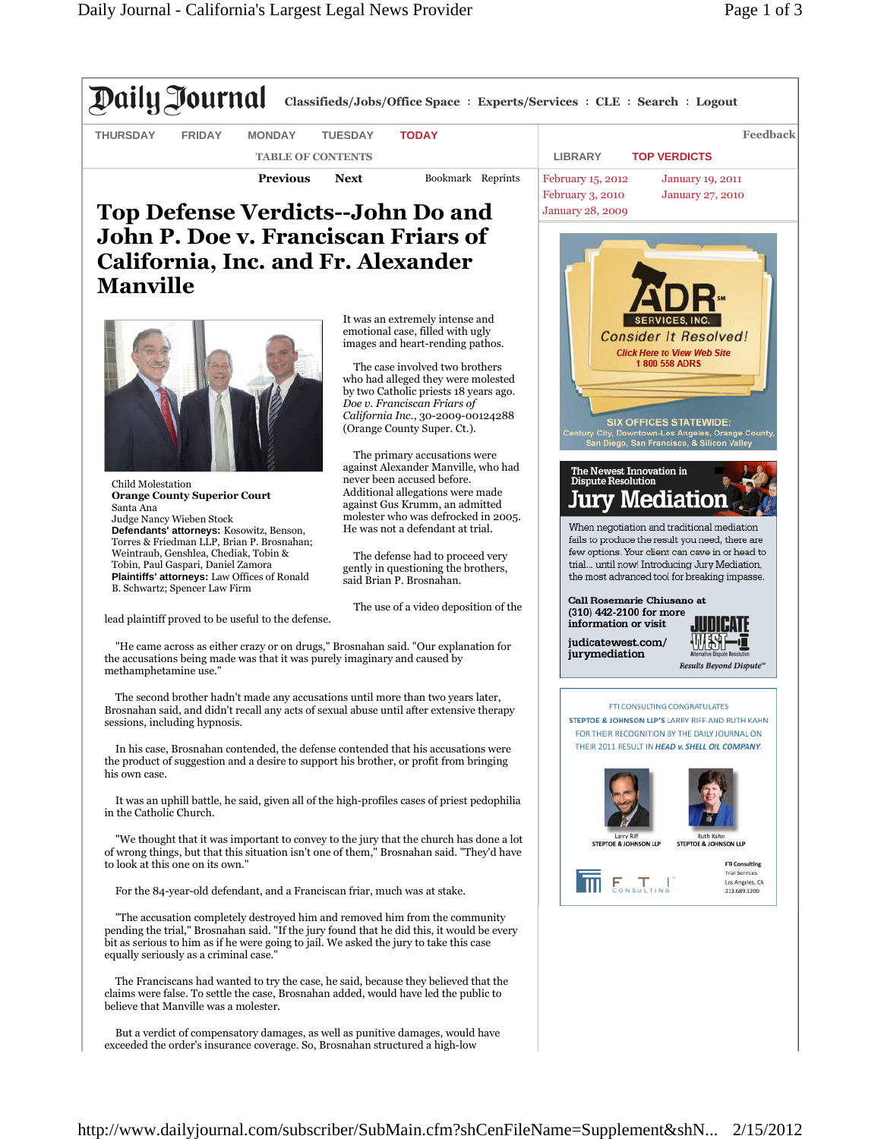## Daily Iournal

**Classifieds/Jobs/Office Space** : **Experts/Services** : **CLE** : **Search** : **Logout**

**THURSDAY FRIDAY MONDAY TUESDAY TODAY**

**TABLE OF CONTENTS**

**Previous Next**

Bookmark Reprints

## **Top Defense Verdicts--John Do and John P. Doe v. Franciscan Friars of California, Inc. and Fr. Alexander Manville**



Child Molestation **Orange County Superior Court** Santa Ana Judge Nancy Wieben Stock **Defendants' attorneys:** Kosowitz, Benson, Torres & Friedman LLP, Brian P. Brosnahan; Weintraub, Genshlea, Chediak, Tobin & Tobin, Paul Gaspari, Daniel Zamora **Plaintiffs' attorneys:** Law Offices of Ronald B. Schwartz; Spencer Law Firm

It was an extremely intense and emotional case, filled with ugly images and heart-rending pathos.

The case involved two brothers who had alleged they were molested by two Catholic priests 18 years ago. *Doe v. Franciscan Friars of California Inc.*, 30-2009-00124288 (Orange County Super. Ct.).

The primary accusations were against Alexander Manville, who had never been accused before. Additional allegations were made against Gus Krumm, an admitted molester who was defrocked in 2005. He was not a defendant at trial.

The defense had to proceed very gently in questioning the brothers, said Brian P. Brosnahan.

The use of a video deposition of the

lead plaintiff proved to be useful to the defense.

"He came across as either crazy or on drugs," Brosnahan said. "Our explanation for the accusations being made was that it was purely imaginary and caused by methamphetamine use."

The second brother hadn't made any accusations until more than two years later, Brosnahan said, and didn't recall any acts of sexual abuse until after extensive therapy sessions, including hypnosis.

In his case, Brosnahan contended, the defense contended that his accusations were the product of suggestion and a desire to support his brother, or profit from bringing his own case.

It was an uphill battle, he said, given all of the high-profiles cases of priest pedophilia in the Catholic Church.

"We thought that it was important to convey to the jury that the church has done a lot of wrong things, but that this situation isn't one of them," Brosnahan said. "They'd have to look at this one on its own."

For the 84-year-old defendant, and a Franciscan friar, much was at stake.

"The accusation completely destroyed him and removed him from the community pending the trial," Brosnahan said. "If the jury found that he did this, it would be every bit as serious to him as if he were going to jail. We asked the jury to take this case equally seriously as a criminal case."

The Franciscans had wanted to try the case, he said, because they believed that the claims were false. To settle the case, Brosnahan added, would have led the public to believe that Manville was a molester.

But a verdict of compensatory damages, as well as punitive damages, would have exceeded the order's insurance coverage. So, Brosnahan structured a high-low